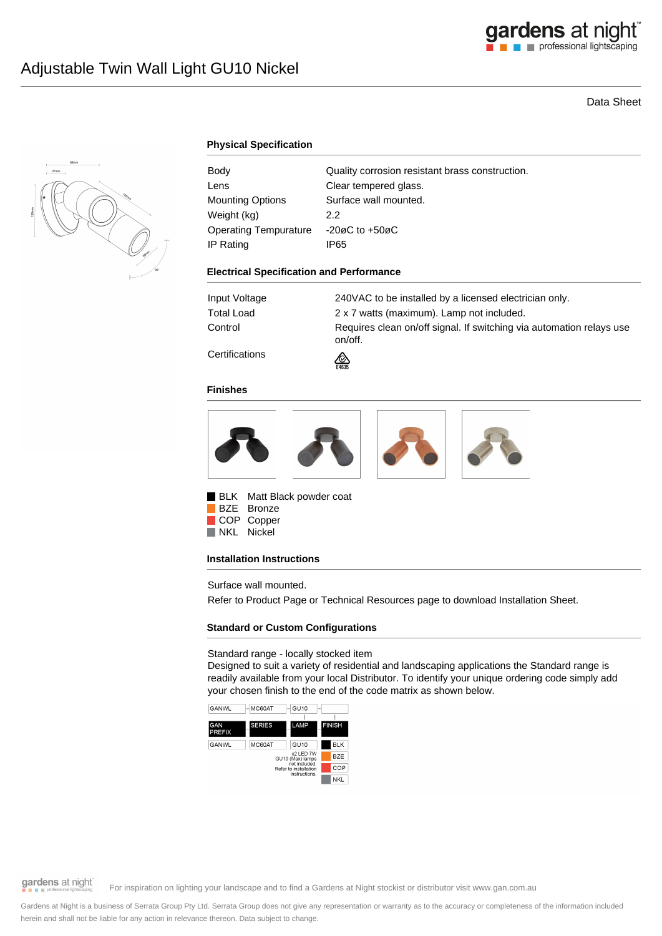# Data Sheet



# **Physical Specification**

| Body                    | Quality corrosion resistant brass construction. |
|-------------------------|-------------------------------------------------|
| Lens                    | Clear tempered glass.                           |
| <b>Mounting Options</b> | Surface wall mounted.                           |
| Weight (kg)             | 2.2                                             |
| Operating Tempurature   | $-20\varnothing$ C to $+50\varnothing$ C        |
| IP Rating               | IP65                                            |

### **Electrical Specification and Performance**

| Input Voltage        | 240VAC to be installed by a licensed electrician only.                          |
|----------------------|---------------------------------------------------------------------------------|
| Total Load           | 2 x 7 watts (maximum). Lamp not included.                                       |
| Control              | Requires clean on/off signal. If switching via automation relays use<br>on/off. |
| $\sim$ $\sim$ $\sim$ |                                                                                 |

**Certifications** 

### **Finishes**



⚠

BLK Matt Black powder coat BZE Bronze COP Copper NKL Nickel

### **Installation Instructions**

Surface wall mounted.

Refer to Product Page or Technical Resources page to download Installation Sheet.

# **Standard or Custom Configurations**

### Standard range - locally stocked item

Designed to suit a variety of residential and landscaping applications the Standard range is readily available from your local Distributor. To identify your unique ordering code simply add your chosen finish to the end of the code matrix as shown below.



gardens at night

For inspiration on lighting your landscape and to find a Gardens at Night stockist or distributor visit www.gan.com.au

Gardens at Night is a business of Serrata Group Pty Ltd. Serrata Group does not give any representation or warranty as to the accuracy or completeness of the information included herein and shall not be liable for any action in relevance thereon. Data subject to change.